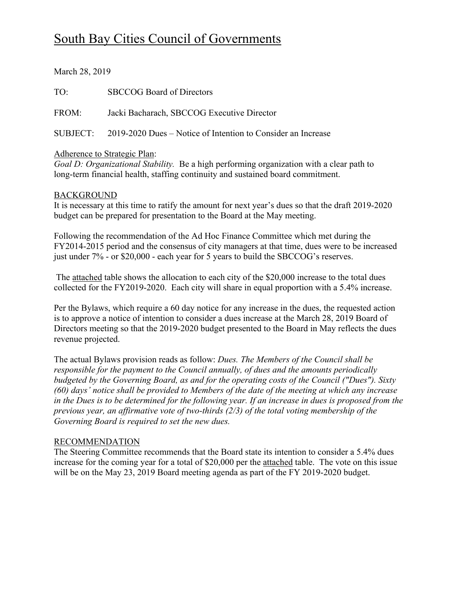# South Bay Cities Council of Governments

March 28, 2019

TO: SBCCOG Board of Directors

FROM: Jacki Bacharach, SBCCOG Executive Director

SUBJECT: 2019-2020 Dues – Notice of Intention to Consider an Increase

## Adherence to Strategic Plan:

*Goal D: Organizational Stability.* Be a high performing organization with a clear path to long-term financial health, staffing continuity and sustained board commitment.

## BACKGROUND

It is necessary at this time to ratify the amount for next year's dues so that the draft 2019-2020 budget can be prepared for presentation to the Board at the May meeting.

Following the recommendation of the Ad Hoc Finance Committee which met during the FY2014-2015 period and the consensus of city managers at that time, dues were to be increased just under 7% - or \$20,000 - each year for 5 years to build the SBCCOG's reserves.

The attached table shows the allocation to each city of the \$20,000 increase to the total dues collected for the FY2019-2020. Each city will share in equal proportion with a 5.4% increase.

Per the Bylaws, which require a 60 day notice for any increase in the dues, the requested action is to approve a notice of intention to consider a dues increase at the March 28, 2019 Board of Directors meeting so that the 2019-2020 budget presented to the Board in May reflects the dues revenue projected.

The actual Bylaws provision reads as follow: *Dues. The Members of the Council shall be responsible for the payment to the Council annually, of dues and the amounts periodically budgeted by the Governing Board, as and for the operating costs of the Council ("Dues"). Sixty (60) days' notice shall be provided to Members of the date of the meeting at which any increase in the Dues is to be determined for the following year. If an increase in dues is proposed from the previous year, an affirmative vote of two-thirds (2/3) of the total voting membership of the Governing Board is required to set the new dues.*

#### RECOMMENDATION

The Steering Committee recommends that the Board state its intention to consider a 5.4% dues increase for the coming year for a total of \$20,000 per the attached table. The vote on this issue will be on the May 23, 2019 Board meeting agenda as part of the FY 2019-2020 budget.